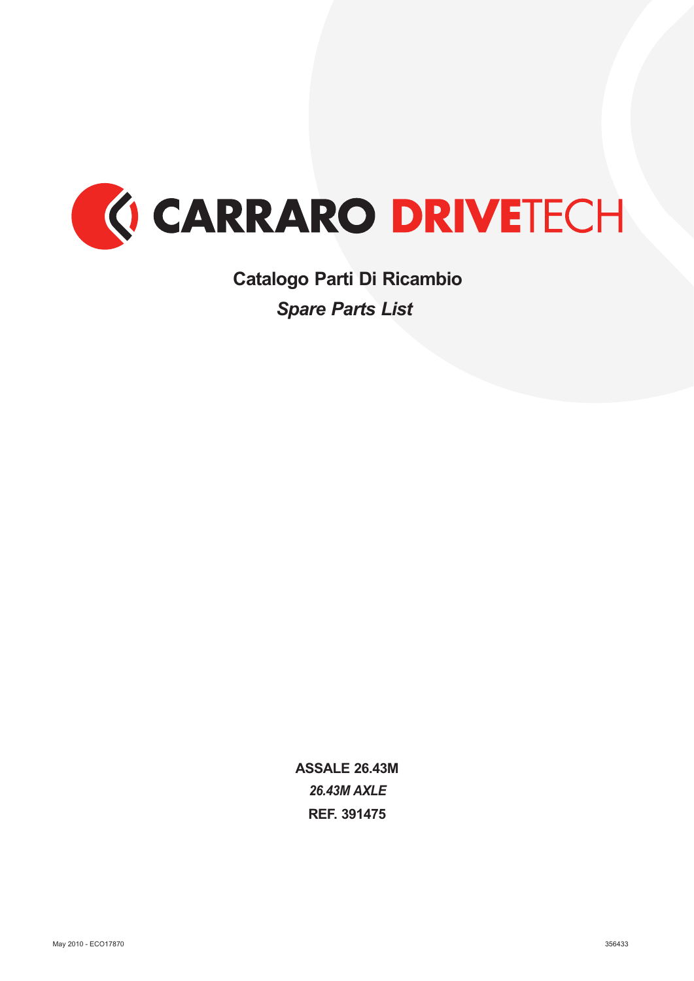

*Spare Parts List* **Catalogo Parti Di Ricambio**

> *26.43M AXLE* **ASSALE 26.43M REF. 391475**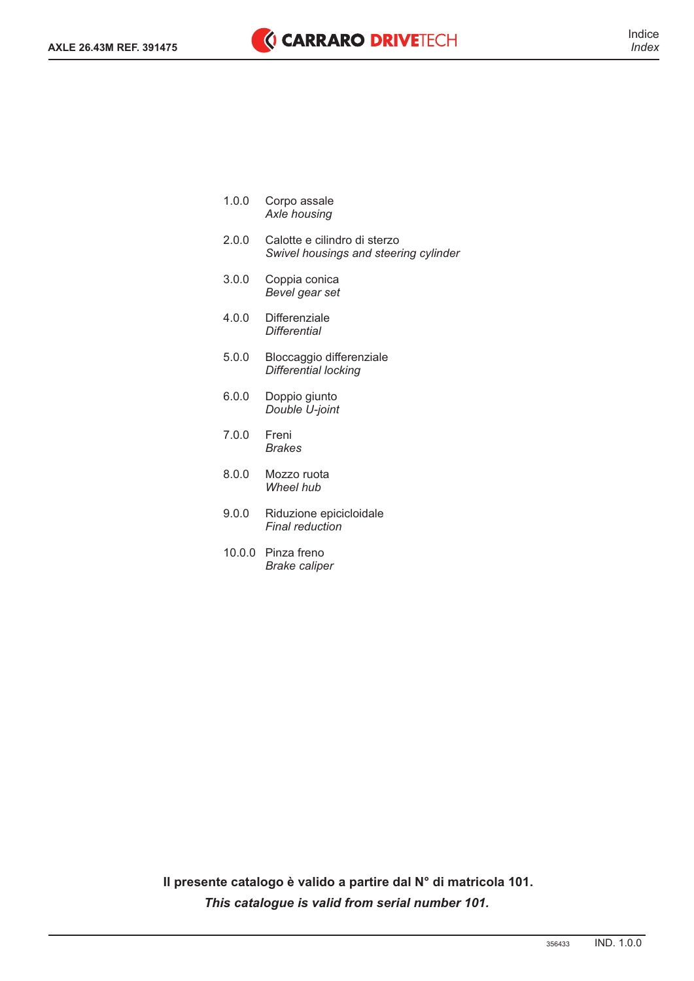- 1.0.0 *Axle housing*  Corpo assale
- 2.0.0 Calotte e cilindro di sterzo *Swivel housings and steering cylinder*
- 3.0.0 Coppia conica *Bevel gear set*
- 4.0.0 Differenziale *Differential*
- 5.0.0 Bloccaggio differenziale *Differential locking*
- 6.0.0 Doppio giunto *Double U-joint*
- 7.0.0 Freni *Brakes*
- 8.0.0 Mozzo ruota *Wheel hub*
- 9.0.0 Riduzione epicicloidale *Final reduction*
- 10.0.0 Pinza freno *Brake caliper*

**Il presente catalogo è valido a partire dal N° di matricola 101.** *This catalogue is valid from serial number 101.*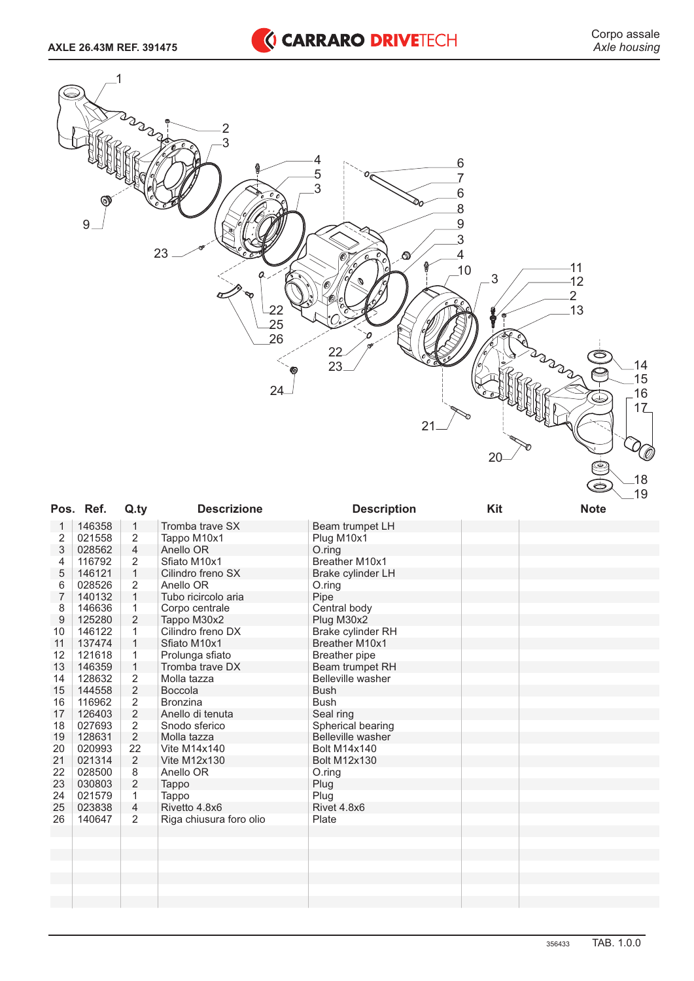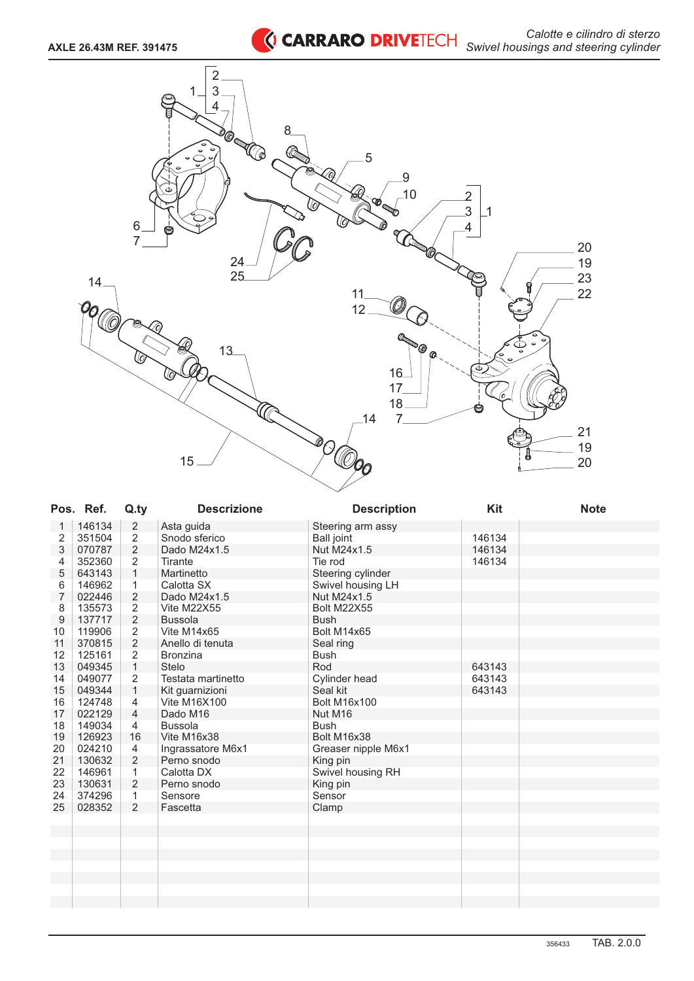

| 146134<br>$\overline{2}$<br>Asta guida<br>Steering arm assy<br>1<br>$\overline{2}$<br>2<br>351504<br>146134<br>Snodo sferico<br><b>Ball joint</b><br>$\overline{c}$<br>3<br>070787<br>Nut M24x1.5<br>146134<br>Dado M24x1.5<br>2<br>352360<br>146134<br>4<br>Tirante<br>Tie rod<br>5<br>$\mathbf{1}$<br>643143<br>Steering cylinder<br>Martinetto<br>6<br>146962<br>$\mathbf{1}$<br>Calotta SX<br>Swivel housing LH<br>$\overline{7}$<br>$\overline{2}$<br>022446<br>Nut M24x1.5<br>Dado M24x1.5<br>8<br>135573<br>2<br>Vite M22X55<br><b>Bolt M22X55</b><br>$\overline{2}$<br>9<br>137717<br><b>Bussola</b><br><b>Bush</b><br>$\overline{2}$<br>119906<br>Bolt M14x65<br>10<br>Vite M14x65<br>$\overline{2}$<br>370815<br>11<br>Seal ring<br>Anello di tenuta<br>$\overline{2}$<br>12<br>125161<br><b>Bush</b><br><b>Bronzina</b><br>$\mathbf{1}$<br>13<br>Rod<br>049345<br>Stelo<br>643143<br>$\overline{2}$<br>Testata martinetto<br>14<br>049077<br>Cylinder head<br>643143<br>$\mathbf{1}$<br>15<br>049344<br>Kit guarnizioni<br>Seal kit<br>643143<br>16<br>124748<br>4<br><b>Vite M16X100</b><br><b>Bolt M16x100</b><br>022129<br>$\overline{4}$<br>17<br>Dado M16<br>Nut M16<br>18<br>149034<br>4<br><b>Bussola</b><br><b>Bush</b><br>19<br>126923<br>16<br>Vite M16x38<br>Bolt M16x38<br>024210<br>20<br>4<br>Ingrassatore M6x1<br>Greaser nipple M6x1<br>$\overline{2}$<br>21<br>130632<br>Perno snodo<br>King pin<br>22<br>146961<br>$\mathbf{1}$<br>Swivel housing RH<br>Calotta DX<br>2<br>23<br>130631<br>King pin<br>Perno snodo<br>24<br>374296<br>$\mathbf{1}$<br>Sensore<br>Sensor<br>2<br>25<br>028352<br>Fascetta<br>Clamp | Pos. Ref. | Q.ty | <b>Descrizione</b> | <b>Description</b> | <b>Kit</b> | <b>Note</b> |
|------------------------------------------------------------------------------------------------------------------------------------------------------------------------------------------------------------------------------------------------------------------------------------------------------------------------------------------------------------------------------------------------------------------------------------------------------------------------------------------------------------------------------------------------------------------------------------------------------------------------------------------------------------------------------------------------------------------------------------------------------------------------------------------------------------------------------------------------------------------------------------------------------------------------------------------------------------------------------------------------------------------------------------------------------------------------------------------------------------------------------------------------------------------------------------------------------------------------------------------------------------------------------------------------------------------------------------------------------------------------------------------------------------------------------------------------------------------------------------------------------------------------------------------------------------------------------------------------------------------------------------------------|-----------|------|--------------------|--------------------|------------|-------------|
|                                                                                                                                                                                                                                                                                                                                                                                                                                                                                                                                                                                                                                                                                                                                                                                                                                                                                                                                                                                                                                                                                                                                                                                                                                                                                                                                                                                                                                                                                                                                                                                                                                                |           |      |                    |                    |            |             |
|                                                                                                                                                                                                                                                                                                                                                                                                                                                                                                                                                                                                                                                                                                                                                                                                                                                                                                                                                                                                                                                                                                                                                                                                                                                                                                                                                                                                                                                                                                                                                                                                                                                |           |      |                    |                    |            |             |
|                                                                                                                                                                                                                                                                                                                                                                                                                                                                                                                                                                                                                                                                                                                                                                                                                                                                                                                                                                                                                                                                                                                                                                                                                                                                                                                                                                                                                                                                                                                                                                                                                                                |           |      |                    |                    |            |             |
|                                                                                                                                                                                                                                                                                                                                                                                                                                                                                                                                                                                                                                                                                                                                                                                                                                                                                                                                                                                                                                                                                                                                                                                                                                                                                                                                                                                                                                                                                                                                                                                                                                                |           |      |                    |                    |            |             |
|                                                                                                                                                                                                                                                                                                                                                                                                                                                                                                                                                                                                                                                                                                                                                                                                                                                                                                                                                                                                                                                                                                                                                                                                                                                                                                                                                                                                                                                                                                                                                                                                                                                |           |      |                    |                    |            |             |
|                                                                                                                                                                                                                                                                                                                                                                                                                                                                                                                                                                                                                                                                                                                                                                                                                                                                                                                                                                                                                                                                                                                                                                                                                                                                                                                                                                                                                                                                                                                                                                                                                                                |           |      |                    |                    |            |             |
|                                                                                                                                                                                                                                                                                                                                                                                                                                                                                                                                                                                                                                                                                                                                                                                                                                                                                                                                                                                                                                                                                                                                                                                                                                                                                                                                                                                                                                                                                                                                                                                                                                                |           |      |                    |                    |            |             |
|                                                                                                                                                                                                                                                                                                                                                                                                                                                                                                                                                                                                                                                                                                                                                                                                                                                                                                                                                                                                                                                                                                                                                                                                                                                                                                                                                                                                                                                                                                                                                                                                                                                |           |      |                    |                    |            |             |
|                                                                                                                                                                                                                                                                                                                                                                                                                                                                                                                                                                                                                                                                                                                                                                                                                                                                                                                                                                                                                                                                                                                                                                                                                                                                                                                                                                                                                                                                                                                                                                                                                                                |           |      |                    |                    |            |             |
|                                                                                                                                                                                                                                                                                                                                                                                                                                                                                                                                                                                                                                                                                                                                                                                                                                                                                                                                                                                                                                                                                                                                                                                                                                                                                                                                                                                                                                                                                                                                                                                                                                                |           |      |                    |                    |            |             |
|                                                                                                                                                                                                                                                                                                                                                                                                                                                                                                                                                                                                                                                                                                                                                                                                                                                                                                                                                                                                                                                                                                                                                                                                                                                                                                                                                                                                                                                                                                                                                                                                                                                |           |      |                    |                    |            |             |
|                                                                                                                                                                                                                                                                                                                                                                                                                                                                                                                                                                                                                                                                                                                                                                                                                                                                                                                                                                                                                                                                                                                                                                                                                                                                                                                                                                                                                                                                                                                                                                                                                                                |           |      |                    |                    |            |             |
|                                                                                                                                                                                                                                                                                                                                                                                                                                                                                                                                                                                                                                                                                                                                                                                                                                                                                                                                                                                                                                                                                                                                                                                                                                                                                                                                                                                                                                                                                                                                                                                                                                                |           |      |                    |                    |            |             |
|                                                                                                                                                                                                                                                                                                                                                                                                                                                                                                                                                                                                                                                                                                                                                                                                                                                                                                                                                                                                                                                                                                                                                                                                                                                                                                                                                                                                                                                                                                                                                                                                                                                |           |      |                    |                    |            |             |
|                                                                                                                                                                                                                                                                                                                                                                                                                                                                                                                                                                                                                                                                                                                                                                                                                                                                                                                                                                                                                                                                                                                                                                                                                                                                                                                                                                                                                                                                                                                                                                                                                                                |           |      |                    |                    |            |             |
|                                                                                                                                                                                                                                                                                                                                                                                                                                                                                                                                                                                                                                                                                                                                                                                                                                                                                                                                                                                                                                                                                                                                                                                                                                                                                                                                                                                                                                                                                                                                                                                                                                                |           |      |                    |                    |            |             |
|                                                                                                                                                                                                                                                                                                                                                                                                                                                                                                                                                                                                                                                                                                                                                                                                                                                                                                                                                                                                                                                                                                                                                                                                                                                                                                                                                                                                                                                                                                                                                                                                                                                |           |      |                    |                    |            |             |
|                                                                                                                                                                                                                                                                                                                                                                                                                                                                                                                                                                                                                                                                                                                                                                                                                                                                                                                                                                                                                                                                                                                                                                                                                                                                                                                                                                                                                                                                                                                                                                                                                                                |           |      |                    |                    |            |             |
|                                                                                                                                                                                                                                                                                                                                                                                                                                                                                                                                                                                                                                                                                                                                                                                                                                                                                                                                                                                                                                                                                                                                                                                                                                                                                                                                                                                                                                                                                                                                                                                                                                                |           |      |                    |                    |            |             |
|                                                                                                                                                                                                                                                                                                                                                                                                                                                                                                                                                                                                                                                                                                                                                                                                                                                                                                                                                                                                                                                                                                                                                                                                                                                                                                                                                                                                                                                                                                                                                                                                                                                |           |      |                    |                    |            |             |
|                                                                                                                                                                                                                                                                                                                                                                                                                                                                                                                                                                                                                                                                                                                                                                                                                                                                                                                                                                                                                                                                                                                                                                                                                                                                                                                                                                                                                                                                                                                                                                                                                                                |           |      |                    |                    |            |             |
|                                                                                                                                                                                                                                                                                                                                                                                                                                                                                                                                                                                                                                                                                                                                                                                                                                                                                                                                                                                                                                                                                                                                                                                                                                                                                                                                                                                                                                                                                                                                                                                                                                                |           |      |                    |                    |            |             |
|                                                                                                                                                                                                                                                                                                                                                                                                                                                                                                                                                                                                                                                                                                                                                                                                                                                                                                                                                                                                                                                                                                                                                                                                                                                                                                                                                                                                                                                                                                                                                                                                                                                |           |      |                    |                    |            |             |
|                                                                                                                                                                                                                                                                                                                                                                                                                                                                                                                                                                                                                                                                                                                                                                                                                                                                                                                                                                                                                                                                                                                                                                                                                                                                                                                                                                                                                                                                                                                                                                                                                                                |           |      |                    |                    |            |             |
|                                                                                                                                                                                                                                                                                                                                                                                                                                                                                                                                                                                                                                                                                                                                                                                                                                                                                                                                                                                                                                                                                                                                                                                                                                                                                                                                                                                                                                                                                                                                                                                                                                                |           |      |                    |                    |            |             |
|                                                                                                                                                                                                                                                                                                                                                                                                                                                                                                                                                                                                                                                                                                                                                                                                                                                                                                                                                                                                                                                                                                                                                                                                                                                                                                                                                                                                                                                                                                                                                                                                                                                |           |      |                    |                    |            |             |
|                                                                                                                                                                                                                                                                                                                                                                                                                                                                                                                                                                                                                                                                                                                                                                                                                                                                                                                                                                                                                                                                                                                                                                                                                                                                                                                                                                                                                                                                                                                                                                                                                                                |           |      |                    |                    |            |             |
|                                                                                                                                                                                                                                                                                                                                                                                                                                                                                                                                                                                                                                                                                                                                                                                                                                                                                                                                                                                                                                                                                                                                                                                                                                                                                                                                                                                                                                                                                                                                                                                                                                                |           |      |                    |                    |            |             |
|                                                                                                                                                                                                                                                                                                                                                                                                                                                                                                                                                                                                                                                                                                                                                                                                                                                                                                                                                                                                                                                                                                                                                                                                                                                                                                                                                                                                                                                                                                                                                                                                                                                |           |      |                    |                    |            |             |
|                                                                                                                                                                                                                                                                                                                                                                                                                                                                                                                                                                                                                                                                                                                                                                                                                                                                                                                                                                                                                                                                                                                                                                                                                                                                                                                                                                                                                                                                                                                                                                                                                                                |           |      |                    |                    |            |             |
|                                                                                                                                                                                                                                                                                                                                                                                                                                                                                                                                                                                                                                                                                                                                                                                                                                                                                                                                                                                                                                                                                                                                                                                                                                                                                                                                                                                                                                                                                                                                                                                                                                                |           |      |                    |                    |            |             |
|                                                                                                                                                                                                                                                                                                                                                                                                                                                                                                                                                                                                                                                                                                                                                                                                                                                                                                                                                                                                                                                                                                                                                                                                                                                                                                                                                                                                                                                                                                                                                                                                                                                |           |      |                    |                    |            |             |
|                                                                                                                                                                                                                                                                                                                                                                                                                                                                                                                                                                                                                                                                                                                                                                                                                                                                                                                                                                                                                                                                                                                                                                                                                                                                                                                                                                                                                                                                                                                                                                                                                                                |           |      |                    |                    |            |             |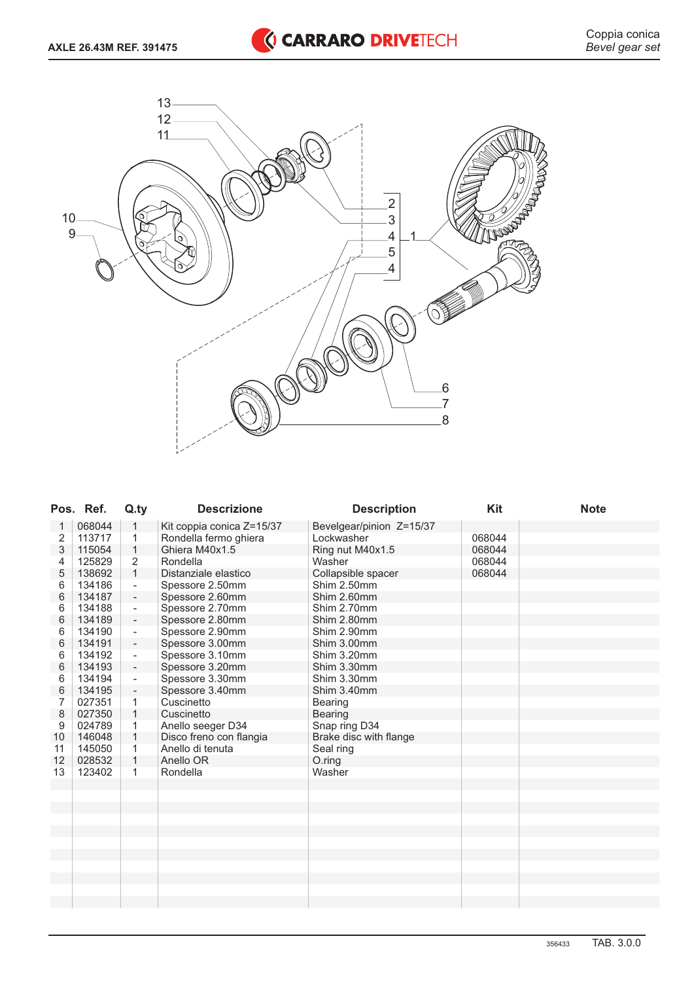

|    | Pos. Ref. | Q.ty                     | <b>Descrizione</b>        | <b>Description</b>       | <b>Kit</b> | <b>Note</b> |
|----|-----------|--------------------------|---------------------------|--------------------------|------------|-------------|
| 1  | 068044    | 1                        | Kit coppia conica Z=15/37 | Bevelgear/pinion Z=15/37 |            |             |
| 2  | 113717    | 1                        | Rondella fermo ghiera     | Lockwasher               | 068044     |             |
| 3  | 115054    | 1                        | Ghiera M40x1.5            | Ring nut M40x1.5         | 068044     |             |
| 4  | 125829    | $\overline{2}$           | Rondella                  | Washer                   | 068044     |             |
| 5  | 138692    | $\mathbf{1}$             | Distanziale elastico      | Collapsible spacer       | 068044     |             |
| 6  | 134186    | $\overline{\phantom{a}}$ | Spessore 2.50mm           | Shim 2.50mm              |            |             |
| 6  | 134187    | $\overline{\phantom{a}}$ | Spessore 2.60mm           | Shim 2.60mm              |            |             |
| 6  | 134188    | $\overline{\phantom{a}}$ | Spessore 2.70mm           | Shim 2.70mm              |            |             |
| 6  | 134189    | $\overline{\phantom{a}}$ | Spessore 2.80mm           | Shim 2.80mm              |            |             |
| 6  | 134190    | $\blacksquare$           | Spessore 2.90mm           | Shim 2.90mm              |            |             |
| 6  | 134191    | $\overline{\phantom{a}}$ | Spessore 3.00mm           | Shim 3.00mm              |            |             |
| 6  | 134192    | $\blacksquare$           | Spessore 3.10mm           | Shim 3.20mm              |            |             |
| 6  | 134193    | $\overline{\phantom{a}}$ | Spessore 3.20mm           | Shim 3.30mm              |            |             |
| 6  | 134194    | $\blacksquare$           | Spessore 3.30mm           | Shim 3.30mm              |            |             |
| 6  | 134195    | $\blacksquare$           | Spessore 3.40mm           | Shim 3.40mm              |            |             |
| 7  | 027351    | 1                        | Cuscinetto                | Bearing                  |            |             |
| 8  | 027350    | $\mathbf{1}$             | Cuscinetto                | Bearing                  |            |             |
| 9  | 024789    | 1                        | Anello seeger D34         | Snap ring D34            |            |             |
| 10 | 146048    | 1                        | Disco freno con flangia   | Brake disc with flange   |            |             |
| 11 | 145050    | 1                        | Anello di tenuta          | Seal ring                |            |             |
| 12 | 028532    | 1                        | Anello OR                 | O.ring                   |            |             |
| 13 | 123402    | 1                        | Rondella                  | Washer                   |            |             |
|    |           |                          |                           |                          |            |             |
|    |           |                          |                           |                          |            |             |
|    |           |                          |                           |                          |            |             |
|    |           |                          |                           |                          |            |             |
|    |           |                          |                           |                          |            |             |
|    |           |                          |                           |                          |            |             |
|    |           |                          |                           |                          |            |             |
|    |           |                          |                           |                          |            |             |
|    |           |                          |                           |                          |            |             |
|    |           |                          |                           |                          |            |             |
|    |           |                          |                           |                          |            |             |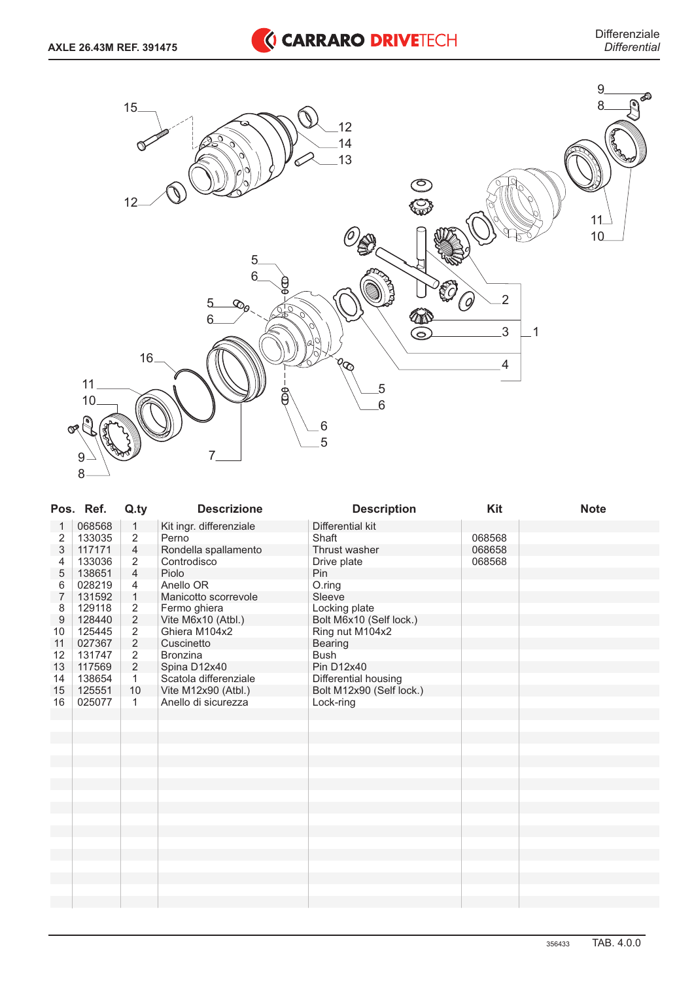

|                | Pos. Ref. | Q.ty           | <b>Descrizione</b>      | <b>Description</b>       | Kit    | <b>Note</b> |
|----------------|-----------|----------------|-------------------------|--------------------------|--------|-------------|
| 1              | 068568    | $\mathbf{1}$   | Kit ingr. differenziale | Differential kit         |        |             |
| 2              | 133035    | $\sqrt{2}$     | Perno                   | Shaft                    | 068568 |             |
| 3              | 117171    | $\overline{4}$ | Rondella spallamento    | Thrust washer            | 068658 |             |
| 4              | 133036    | $\overline{2}$ | Controdisco             | Drive plate              | 068568 |             |
| 5              | 138651    | $\overline{4}$ | Piolo                   | Pin                      |        |             |
| 6              | 028219    | 4              | Anello OR               | O.ring                   |        |             |
| $\overline{7}$ | 131592    | $\mathbf{1}$   | Manicotto scorrevole    | Sleeve                   |        |             |
| 8              | 129118    | $\sqrt{2}$     | Fermo ghiera            | Locking plate            |        |             |
| $9$            | 128440    | $\sqrt{2}$     | Vite M6x10 (Atbl.)      | Bolt M6x10 (Self lock.)  |        |             |
| 10             | 125445    | $\overline{2}$ | Ghiera M104x2           | Ring nut M104x2          |        |             |
| 11             | 027367    | $\sqrt{2}$     | Cuscinetto              | Bearing                  |        |             |
| 12             | 131747    | $\overline{2}$ | <b>Bronzina</b>         | <b>Bush</b>              |        |             |
| 13             | 117569    | $\overline{2}$ | Spina D12x40            | <b>Pin D12x40</b>        |        |             |
| 14             | 138654    | 1              | Scatola differenziale   | Differential housing     |        |             |
| 15             | 125551    | 10             | Vite M12x90 (Atbl.)     | Bolt M12x90 (Self lock.) |        |             |
| 16             | 025077    | 1              | Anello di sicurezza     | Lock-ring                |        |             |
|                |           |                |                         |                          |        |             |
|                |           |                |                         |                          |        |             |
|                |           |                |                         |                          |        |             |
|                |           |                |                         |                          |        |             |
|                |           |                |                         |                          |        |             |
|                |           |                |                         |                          |        |             |
|                |           |                |                         |                          |        |             |
|                |           |                |                         |                          |        |             |
|                |           |                |                         |                          |        |             |
|                |           |                |                         |                          |        |             |
|                |           |                |                         |                          |        |             |
|                |           |                |                         |                          |        |             |
|                |           |                |                         |                          |        |             |
|                |           |                |                         |                          |        |             |
|                |           |                |                         |                          |        |             |
|                |           |                |                         |                          |        |             |
|                |           |                |                         |                          |        |             |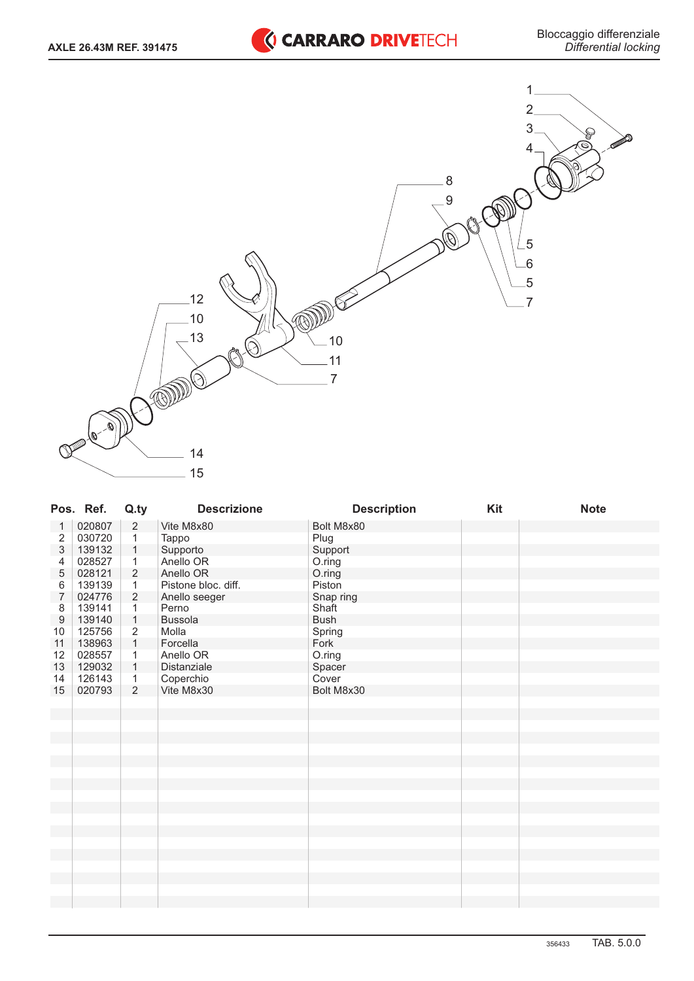

|                  | Pos. Ref. | Q.ty           | <b>Descrizione</b>  | <b>Description</b> | Kit | <b>Note</b> |
|------------------|-----------|----------------|---------------------|--------------------|-----|-------------|
| 1                | 020807    | $\sqrt{2}$     | Vite M8x80          | Bolt M8x80         |     |             |
| 2                | 030720    | $\overline{1}$ | Tappo               | Plug               |     |             |
| 3                | 139132    | $\mathbf{1}$   | Supporto            | Support            |     |             |
| 4                | 028527    | $\mathbf{1}$   | Anello OR           | O.ring             |     |             |
| 5                | 028121    | $\overline{2}$ | Anello OR           | O.ring             |     |             |
| $\,6$            | 139139    | $\mathbf{1}$   | Pistone bloc. diff. | Piston             |     |             |
| $\overline{7}$   | 024776    | $\overline{2}$ | Anello seeger       | Snap ring          |     |             |
| 8                | 139141    | $\mathbf{1}$   | Perno               | Shaft              |     |             |
| $\boldsymbol{9}$ | 139140    | $\mathbf{1}$   | Bussola             | <b>Bush</b>        |     |             |
| 10               | 125756    | $\overline{2}$ | Molla               | Spring             |     |             |
| 11               | 138963    | $\mathbf{1}$   | Forcella            | Fork               |     |             |
| 12               | 028557    | 1              | Anello OR           | O.ring             |     |             |
| 13               | 129032    | $\mathbf{1}$   | Distanziale         | Spacer             |     |             |
| 14               | 126143    | $\mathbf{1}$   | Coperchio           | Cover              |     |             |
| 15               | 020793    | $\overline{2}$ | Vite M8x30          | Bolt M8x30         |     |             |
|                  |           |                |                     |                    |     |             |
|                  |           |                |                     |                    |     |             |
|                  |           |                |                     |                    |     |             |
|                  |           |                |                     |                    |     |             |
|                  |           |                |                     |                    |     |             |
|                  |           |                |                     |                    |     |             |
|                  |           |                |                     |                    |     |             |
|                  |           |                |                     |                    |     |             |
|                  |           |                |                     |                    |     |             |
|                  |           |                |                     |                    |     |             |
|                  |           |                |                     |                    |     |             |
|                  |           |                |                     |                    |     |             |
|                  |           |                |                     |                    |     |             |
|                  |           |                |                     |                    |     |             |
|                  |           |                |                     |                    |     |             |
|                  |           |                |                     |                    |     |             |
|                  |           |                |                     |                    |     |             |
|                  |           |                |                     |                    |     |             |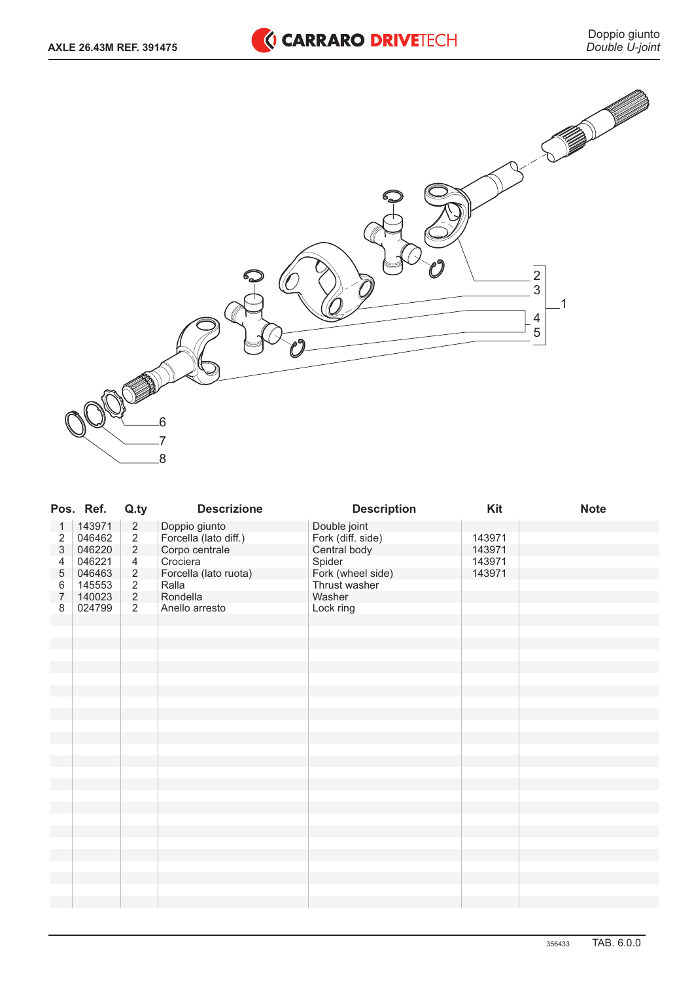



|                | Pos. Ref. | Q.ty           | <b>Descrizione</b>    | <b>Description</b>                | Kit    | <b>Note</b> |
|----------------|-----------|----------------|-----------------------|-----------------------------------|--------|-------------|
| 1              | 143971    | $\sqrt{2}$     | Doppio giunto         | Double joint                      |        |             |
| $\sqrt{2}$     | 046462    | $\overline{2}$ | Forcella (lato diff.) | Fork (diff. side)<br>Central body | 143971 |             |
| $\sqrt{3}$     | 046220    | $\overline{2}$ | Corpo centrale        |                                   | 143971 |             |
| 4              | 046221    | $\overline{4}$ | Crociera              | Spider                            | 143971 |             |
| $\mathbf 5$    | 046463    | $\overline{2}$ | Forcella (lato ruota) | Fork (wheel side)                 | 143971 |             |
| $\,6$          | 145553    | $\overline{2}$ | Ralla                 | Thrust washer                     |        |             |
| $\overline{7}$ | 140023    | $\overline{2}$ | Rondella              | Washer                            |        |             |
| 8              | 024799    | 2              | Anello arresto        | Lock ring                         |        |             |
|                |           |                |                       |                                   |        |             |
|                |           |                |                       |                                   |        |             |
|                |           |                |                       |                                   |        |             |
|                |           |                |                       |                                   |        |             |
|                |           |                |                       |                                   |        |             |
|                |           |                |                       |                                   |        |             |
|                |           |                |                       |                                   |        |             |
|                |           |                |                       |                                   |        |             |
|                |           |                |                       |                                   |        |             |
|                |           |                |                       |                                   |        |             |
|                |           |                |                       |                                   |        |             |
|                |           |                |                       |                                   |        |             |
|                |           |                |                       |                                   |        |             |
|                |           |                |                       |                                   |        |             |
|                |           |                |                       |                                   |        |             |
|                |           |                |                       |                                   |        |             |
|                |           |                |                       |                                   |        |             |
|                |           |                |                       |                                   |        |             |
|                |           |                |                       |                                   |        |             |
|                |           |                |                       |                                   |        |             |
|                |           |                |                       |                                   |        |             |
|                |           |                |                       |                                   |        |             |
|                |           |                |                       |                                   |        |             |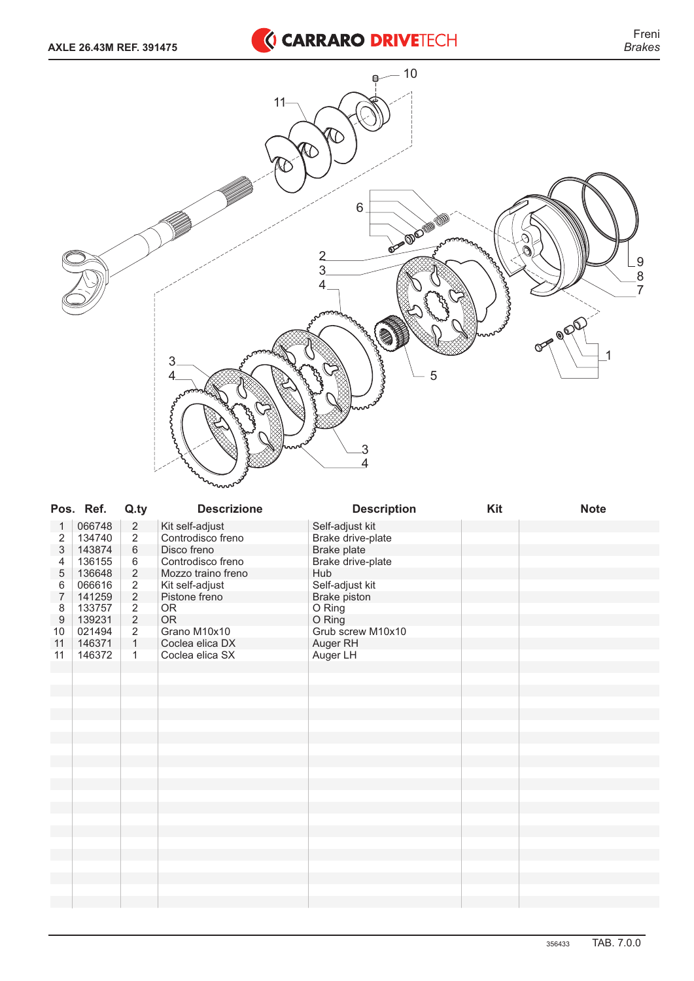

|                  | Pos. Ref. | Q.ty           | <b>Descrizione</b> | <b>Description</b> | Kit | <b>Note</b> |
|------------------|-----------|----------------|--------------------|--------------------|-----|-------------|
| 1                | 066748    | $\sqrt{2}$     | Kit self-adjust    | Self-adjust kit    |     |             |
| $\overline{2}$   | 134740    | $\overline{2}$ | Controdisco freno  | Brake drive-plate  |     |             |
| 3                | 143874    | $\,6\,$        | Disco freno        | Brake plate        |     |             |
| 4                | 136155    | 6              | Controdisco freno  | Brake drive-plate  |     |             |
| 5                | 136648    | $\overline{c}$ | Mozzo traino freno | Hub                |     |             |
| 6                | 066616    | $\overline{c}$ | Kit self-adjust    | Self-adjust kit    |     |             |
| $\boldsymbol{7}$ | 141259    | $\overline{2}$ | Pistone freno      | Brake piston       |     |             |
| 8                | 133757    | $\sqrt{2}$     | <b>OR</b>          | O Ring             |     |             |
| $\boldsymbol{9}$ | 139231    | $\overline{2}$ | <b>OR</b>          | O Ring             |     |             |
| 10               | 021494    | $\overline{2}$ | Grano M10x10       | Grub screw M10x10  |     |             |
| 11               | 146371    | $\mathbf{1}$   | Coclea elica DX    | Auger RH           |     |             |
| 11               | 146372    | $\mathbf{1}$   | Coclea elica SX    | Auger LH           |     |             |
|                  |           |                |                    |                    |     |             |
|                  |           |                |                    |                    |     |             |
|                  |           |                |                    |                    |     |             |
|                  |           |                |                    |                    |     |             |
|                  |           |                |                    |                    |     |             |
|                  |           |                |                    |                    |     |             |
|                  |           |                |                    |                    |     |             |
|                  |           |                |                    |                    |     |             |
|                  |           |                |                    |                    |     |             |
|                  |           |                |                    |                    |     |             |
|                  |           |                |                    |                    |     |             |
|                  |           |                |                    |                    |     |             |
|                  |           |                |                    |                    |     |             |
|                  |           |                |                    |                    |     |             |
|                  |           |                |                    |                    |     |             |
|                  |           |                |                    |                    |     |             |
|                  |           |                |                    |                    |     |             |
|                  |           |                |                    |                    |     |             |
|                  |           |                |                    |                    |     |             |
|                  |           |                |                    |                    |     |             |
|                  |           |                |                    |                    |     |             |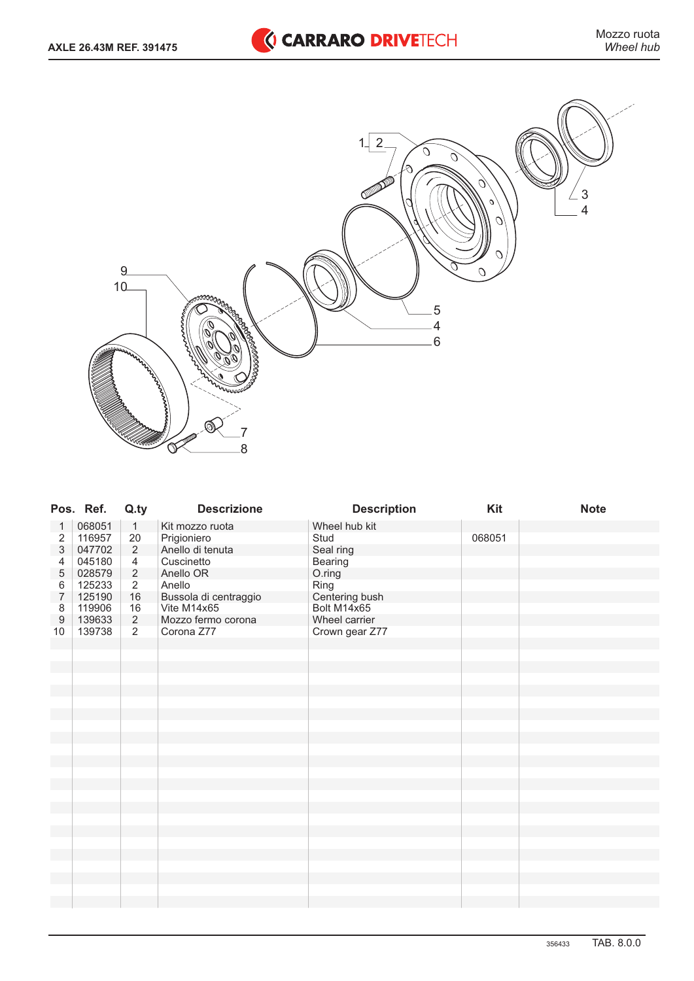

|                           | Pos. Ref. | Q.ty           | <b>Descrizione</b>    | <b>Description</b> | Kit    | <b>Note</b> |
|---------------------------|-----------|----------------|-----------------------|--------------------|--------|-------------|
| 1                         | 068051    | $\mathbf{1}$   | Kit mozzo ruota       | Wheel hub kit      |        |             |
| $\overline{c}$            | 116957    | $20\,$         | Prigioniero           | Stud               | 068051 |             |
| $\ensuremath{\mathsf{3}}$ | 047702    | $\overline{2}$ | Anello di tenuta      | Seal ring          |        |             |
| $\overline{4}$            | 045180    | $\overline{4}$ | Cuscinetto            | Bearing            |        |             |
| $\mathbf 5$               | 028579    | $\overline{2}$ | Anello OR             | O.ring             |        |             |
| $\,6$                     | 125233    | $\overline{2}$ | Anello                | Ring               |        |             |
| $\overline{7}$            | 125190    | $16\,$         | Bussola di centraggio | Centering bush     |        |             |
| 8                         | 119906    | 16             | Vite M14x65           | Bolt M14x65        |        |             |
| $\boldsymbol{9}$          | 139633    | $\overline{2}$ | Mozzo fermo corona    | Wheel carrier      |        |             |
| 10                        | 139738    | $\overline{2}$ | Corona Z77            | Crown gear Z77     |        |             |
|                           |           |                |                       |                    |        |             |
|                           |           |                |                       |                    |        |             |
|                           |           |                |                       |                    |        |             |
|                           |           |                |                       |                    |        |             |
|                           |           |                |                       |                    |        |             |
|                           |           |                |                       |                    |        |             |
|                           |           |                |                       |                    |        |             |
|                           |           |                |                       |                    |        |             |
|                           |           |                |                       |                    |        |             |
|                           |           |                |                       |                    |        |             |
|                           |           |                |                       |                    |        |             |
|                           |           |                |                       |                    |        |             |
|                           |           |                |                       |                    |        |             |
|                           |           |                |                       |                    |        |             |
|                           |           |                |                       |                    |        |             |
|                           |           |                |                       |                    |        |             |
|                           |           |                |                       |                    |        |             |
|                           |           |                |                       |                    |        |             |
|                           |           |                |                       |                    |        |             |
|                           |           |                |                       |                    |        |             |
|                           |           |                |                       |                    |        |             |
|                           |           |                |                       |                    |        |             |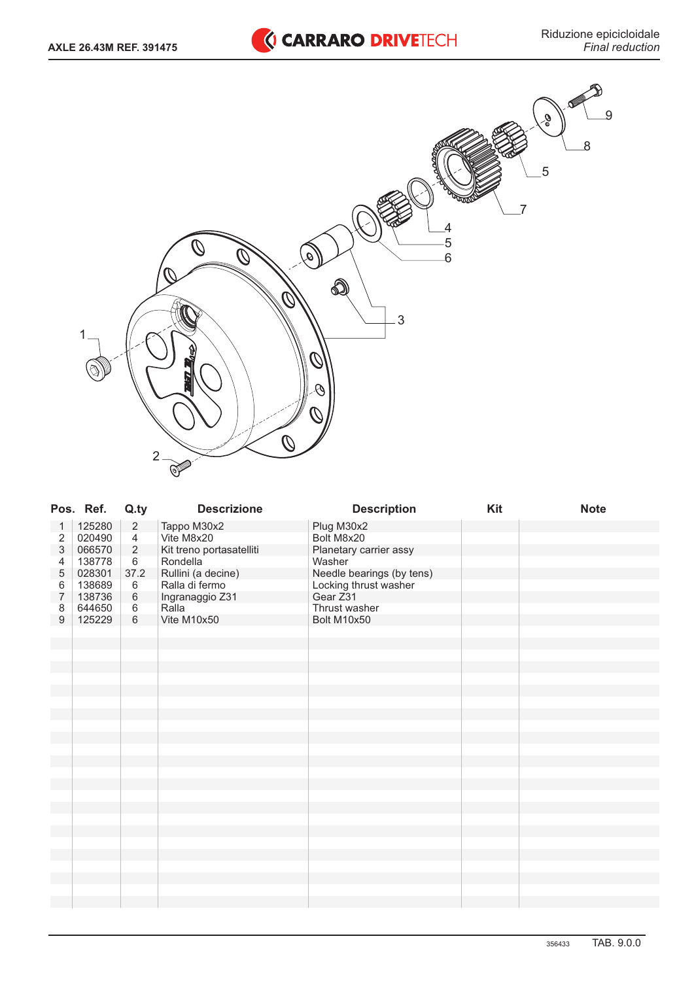

|                           | Pos. Ref. | Q.ty           | <b>Descrizione</b>       | <b>Description</b>        | Kit | <b>Note</b> |
|---------------------------|-----------|----------------|--------------------------|---------------------------|-----|-------------|
| 1                         | 125280    | $\overline{2}$ | Tappo M30x2              | Plug M30x2                |     |             |
| 2                         | 020490    | $\overline{4}$ | Vite M8x20               | Bolt M8x20                |     |             |
| $\ensuremath{\mathsf{3}}$ | 066570    | $\sqrt{2}$     | Kit treno portasatelliti | Planetary carrier assy    |     |             |
| 4                         | 138778    | $\,6\,$        | Rondella                 | Washer                    |     |             |
| 5                         | 028301    | 37.2           | Rullini (a decine)       | Needle bearings (by tens) |     |             |
| 6                         | 138689    | $\,6\,$        | Ralla di fermo           | Locking thrust washer     |     |             |
| $\overline{7}$            | 138736    | $\,6\,$        | Ingranaggio Z31          | Gear Z31                  |     |             |
| 8                         | 644650    | $6\,$          | Ralla                    | Thrust washer             |     |             |
| $9$                       | 125229    | 6              | Vite M10x50              | Bolt M10x50               |     |             |
|                           |           |                |                          |                           |     |             |
|                           |           |                |                          |                           |     |             |
|                           |           |                |                          |                           |     |             |
|                           |           |                |                          |                           |     |             |
|                           |           |                |                          |                           |     |             |
|                           |           |                |                          |                           |     |             |
|                           |           |                |                          |                           |     |             |
|                           |           |                |                          |                           |     |             |
|                           |           |                |                          |                           |     |             |
|                           |           |                |                          |                           |     |             |
|                           |           |                |                          |                           |     |             |
|                           |           |                |                          |                           |     |             |
|                           |           |                |                          |                           |     |             |
|                           |           |                |                          |                           |     |             |
|                           |           |                |                          |                           |     |             |
|                           |           |                |                          |                           |     |             |
|                           |           |                |                          |                           |     |             |
|                           |           |                |                          |                           |     |             |
|                           |           |                |                          |                           |     |             |
|                           |           |                |                          |                           |     |             |
|                           |           |                |                          |                           |     |             |
|                           |           |                |                          |                           |     |             |
|                           |           |                |                          |                           |     |             |